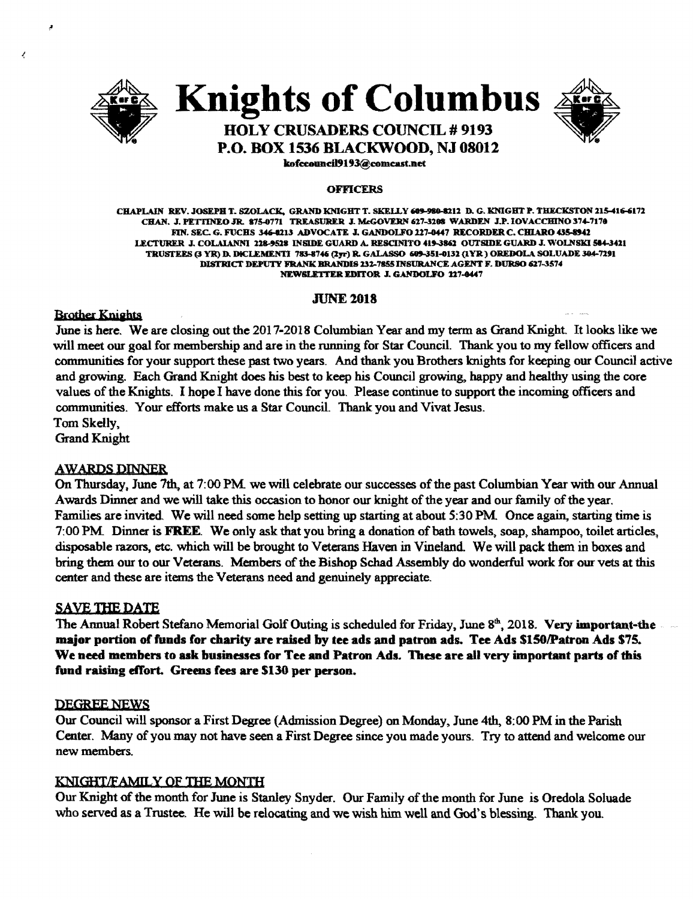

J,

# Knights of Columbus



# HOLY CRUSADERS COUNCIL # 9193 P.O. BOX 1536 BLACKWOOD, NJ 08012

kofeeouncil9193@eomeast.net

#### OFFICERS

CHAPLAIN REV. JOSEPH T. SZOLACK, GRAND KNIGHT T. SKELLY 609-980-8212 D. G. KNIGHT P. THECKSTON 215-416-6172 CHAN. J. PETTINEO JR. 875-0771 TREASURER J. McGOVERN 627-3208 WARDEN J.P. IOVACCHINO 374-7170 FIN. SEC. G. FUCHS 346-0213 ADVOCATE J. GANDOLFO 227-0447 RECORDER C. CHIARO 435-8942 LECTURER J. COLAIANNI 228-9528 INSIDE GUARD A. RESCINITO 419-3862 OUTSIDE GUARD J. WOLNSKI 584-3421 TRUSTEES (3 YR) D. DICLEMENTI 783-8746 (2yr) R. GALASSO 609-351-0132 (1YR ) OREDOLA SOLUADE 304-7291 DISTRICT DEPUTY FRANK BRANDIS 232-7855 INSURANCE AGENT F. DURSO 627-3574 NEWSLETTER EDITOR J. GANDOLFO 227-0447

## **JUNE 2018**

**Brother Knights** 

June is here. We are closing out the 2017-2018 Columbian Year and my term as Grand Knight. It looks like we will meet our goal for membership and are in the running for Star Council. Thank you to my fellow officers and communities for your support these past two years. And thank you Brothers knights for keeping our Council active and growing. Each Grand Knight does his best to keep his Council growing, happy and healthy using the core values ofthe Knights. I hope I have done this for you. Please continue to support the incoming officers and communities. Your efforts make us a Star Council. Thank you and Vivat Jesus. Tom Skelly,

Grand Knight

# **AWARDS DINNER**

On Thursday, June 7th. at 7:00 PM we will celebrate our successes ofthe past Columbian Year with our Annual Awards Dinner and we will take this occasion to honor our knight of the year and our family of the year. Families are invited. We will need some help setting up starting at about 5:30 PM. Once again, starting time is 7:00 PM. Dinner is FREE. We only ask that you bring a donation of bath towels, soap, shampoo, toilet articles, disposable razors, etc. which will be brought to Veterans Haven in Vineland. We will pack them in boxes and bring them our to our Veterans. Members of the Bishop Schad Assembly do wonderful work for our vets at this center and these are items the Veterans need and genuinely appreciate.

# SAVE THE DATE

The Annual Robert Stefano Memorial Golf Outing is scheduled for Friday, June 8<sup>th</sup>, 2018. Very important-the major portion of funds for charity are raised by tee ads and patron ads. Tee Ads \$150/Patron Ads \$75. We need members to ask businesses for Tee and Patron Ads. These are all very important parts of this fund raising effort. Greens fees are \$130 per person.

#### DEGREE NEWS

Our Council will sponsor a First Degree (Admission Degree) on Monday. June 4th, 8:00 PM in the Parish Center. Many of you may not have seen a First Degree since you made yours. Try to attend and welcome our new members.

# KNIGHT/FAMILY OF THE MONTH

Our Knight of the month for June is Stanley Snyder. Our Family of the month for June is Oredola Soluade who served as a Trustee. He will be relocating and we wish him well and God's blessing. Thank you.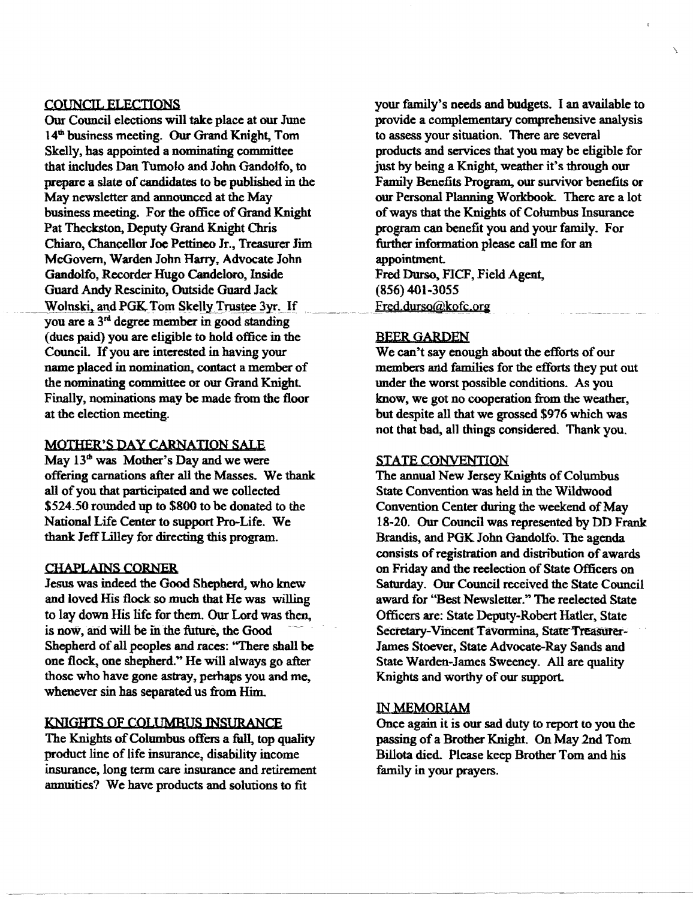#### COUNCIL ELECTIONS

Our Council elections will take place at our June 14<sup>th</sup> business meeting. Our Grand Knight, Tom Skelly, has appointed a nominating committee that includes Dan Tumolo and John Gandolfo, to prepare a slate of candidates to be published in the May newsletter and announced at the May business meeting. For the office of Grand Knight Pat Theckston, Deputy Grand Knight Chris Chiaro, Chancellor Joe Pettineo Jr., Treasurer Jim McGovern, Warden John Harry. Advocate John Gandolfo, Recorder Hugo Candeloro, Inside Guard Andy Rescinito, Outside Guard Jack Wolnski, and PGK Tom Skelly Trustee 3yr. If you are a 3<sup>rd</sup> degree member in good standing (dues paid) you are eligible to hold office in the CounciL Ifyou are interested in having your name placed in nomination. contact a member of the nominating committee or our Grand Knight Finally, nominations may be made from the floor at the election meeting.

#### MOTHER'S DAY CARNATION SALE

May  $13<sup>th</sup>$  was Mother's Day and we were offering carnations after all the Masses. We thank all of you that participated and we collected \$524.50 rounded up to \$800 to be donated to the National Life Center to support Pro-Life. We thank IeffLilley for directing this program.

#### CHAPLAINS CORNER

Jesus was indeed the Good Shepherd, who knew and loved His flock so much that He was willing to lay down His life for them. Our Lord was then, is now, and will be in the future, the Good Shepherd of all peoples and races: "There shall be one flock, one shepherd." He will always go after those who have gone astray, perhaps you and me, whenever sin has separated us from Him.

#### KNIGHTS OF COLUMBUS INSURANCE

The Knights of Columbus offers a full, top quality product line of life insurance, disability income insurance, long term care insurance and retirement annuities? We have products and solutions to fit

your family's needs and budgets. I an available to provide a complementary comprehensive analysis to assess your situation. There are severa1 products and services that you may be eligible for just by being a Knight, weather it's through our Family Benefits Program, our survivor benefits or our Personal Planning Workbook. There are a lot of ways that the Knights of Columbus Insurance program can benefit you and your family. For further information please call me for an appointment Fred Durso, FICF, Field Agent, (856) 401-3055

Fred.durso@kofc.org

#### **BEER GARDEN**

We can't say enough about the efforts of our members and families for the efforts they put out under the worst possible conditions. As you know, we got no cooperation from the weather. but despite all that we grossed \$976 which was not that bad, all things considered. Thank you.

#### STATE CONVENTION

The annual New Jersey Knights of Columbus State Convention was held in the Wildwood Convention Center during the weekend of May 18-20. Our Council was represented by DD Frank Brandis. and PGK John Gandolfo. The agenda consists of registration and distribution of awards on Friday and the reelection of State Officers on Saturday. Our Council received the State Council award for "Best Newsletter." The reelected State Officers are: State Deputy-Robert Hatler. State Secretary-Vincent Tavormina, State Treasurer-James Stoever, State Advocate-Ray Sands and State Warden-James Sweeney. All are quality Knights and worthy of our support.

#### IN MEMORIAM

Once again it is our sad duty to report to you the passing of a Brother Knight. On May 2nd Tom Billota died. Please keep Brother Tom and his family in your prayers.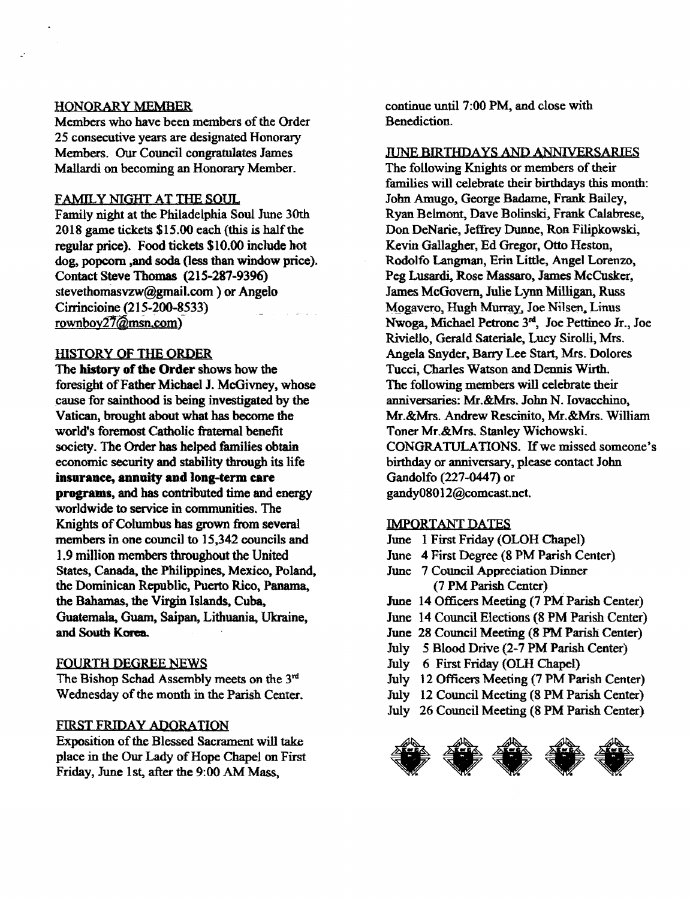### HONORARY MEMBER

Members who have been members of the Order 25 consecutive years are designated Honorary Members. Our Council congratulates James Mallardi on becoming an Honorary Member.

#### FAMILY NIGHT AT THE SOUL

Family night at the Philadelphia Soul June 30th  $2018$  game tickets \$15.00 each (this is half the regular price). Food tickets SIO.00 include hot dog, popcorn, and soda (less than window price). Contact Steve Thomas (215-287-9396) stevethomasvzw@gmai1.com ) or Angelo Cirrincioine (215.200-8533) rownboy $27$ @msn.com)

### HISTORY OF THE ORDER

The history of the Order shows how the foresight of Father Michael J. McGivney, whose cause for sainthood is being investigated by the Vatican, brought about what has become the world's foremost Catholic fraternal benefit society. The Order has helped families obtain economic security and stability through its life insurance, annuity and long-term care programs, and has contributed time and energy wor1dwide to service in communities. The Knights of Columbus has grown from several members in one council to 15,342 councils and 1.9 million members throughout the United States, Canada. the Philippines, Mexico. Poland. the Dominican Republic, Puerto Rico, Panama, the Bahamas, the Virgin Islands, Cuba, Guatemala, Guam, Saipan, Lithuania, Ukraine, and South Korea.

#### FOURTH DEGREE NEWS

The Bishop Schad Assembly meets on the  $3<sup>rd</sup>$ Wednesday of the month in the Parish Center.

#### FIRST FRIDAY ADORATION

Exposition of the Blessed Sacrament will take place in the Our Lady of Hope Chapel on First Friday, June 1st, after the 9:00 AM Mass,

continue until 7:00 PM, and close with Benediction.

JUNE BIRTHDAYS AND ANNIVERSARIES

The following Knights or members of their families will celebrate their birthdays this month: John Amugo, George Badame, Frank Bailey, Ryan Belmont, Dave Bolinski, Frank Calabrese, Don DeNarie, Jeffrey Dunne, Ron. Filipkowski, Kevin Gallagher, Ed Gregor, Otto Heston, Rodolfo Langman, Erin Little, Angel Lorenzo, Peg Lusardi, Rose Massaro, James McCusker, James McGovern, Julie Lynn Milligan, Russ Mogavero, Hugh Murray, Joe Nilsen. Linus Nwoga, Michael Petrone 3<sup>rd</sup>, Joe Pettineo Jr., Joe Riviello, Gerald Sateriale. Lucy Sirolli, Mrs. Angela Snyder, Barry Lee Start, Mrs. Dolores Tucci, Charles Watson and Dennis Wirth. The following members will celebrate their anniversaries: Mr.&Mrs. John N. Iovacchino, Mr.&Mrs. Andrew Rescinito, Mr.&Mrs. William Toner Mr.&Mrs. Stanley Wichowski. CONGRATULATIONS. If we missed someone's birthday or anniversary, please contact John Gandolfo (227-0447) or gandy08012@comcast.net.

#### IMPORTANT DATES

- June 1 First Friday (OLOH Chapel)
- June 4 First Degree (8 PM Parish Center)
- June 7 Council Appreciation Dinner (7 PM Parish Center)
- June 14 Officers Meeting (7 PM Parish Center)
- June 14 Council Elections (8 PM Parish Center)
- June 28 Council Meeting (8 PM Parish Center)
- July 5 Blood Drive (2-7 PM Parish Center)
- July 6 First Friday (OLH Chapel)
- July 12 Officers Meeting (7 PM Parish Center)
- July 12 Council Meeting (8 PM Parish Center)
- July 26 Council Meeting (8 PM Parish Center)